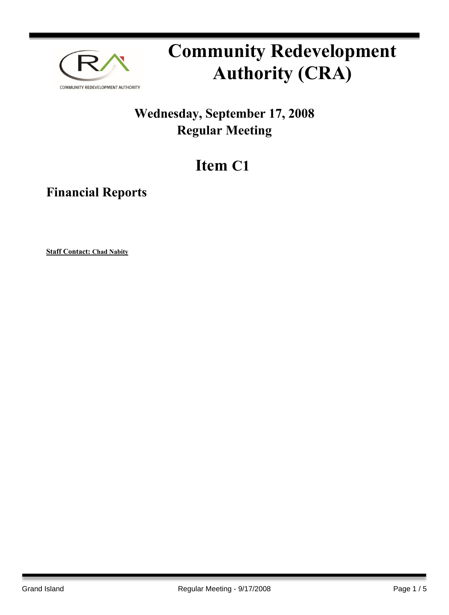

# **Community Redevelopment Authority (CRA)**

### **Wednesday, September 17, 2008 Regular Meeting**

## **Item C1**

**Financial Reports**

**Staff Contact: Chad Nabity**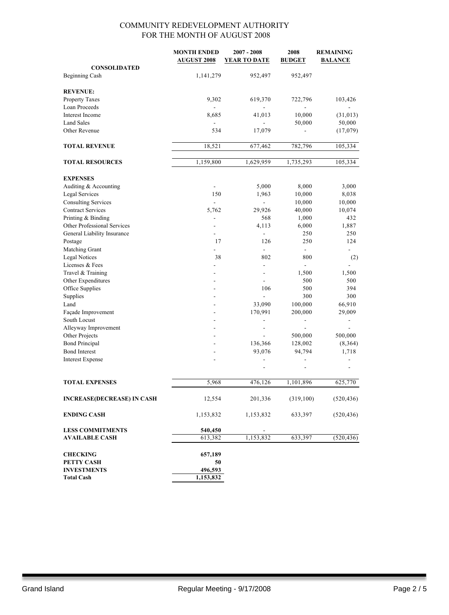|                                                     | <b>MONTH ENDED</b>       | $2007 - 2008$            | 2008                     | <b>REMAINING</b> |
|-----------------------------------------------------|--------------------------|--------------------------|--------------------------|------------------|
|                                                     | <b>AUGUST 2008</b>       | <b>YEAR TO DATE</b>      | <b>BUDGET</b>            | <b>BALANCE</b>   |
| <b>CONSOLIDATED</b>                                 |                          |                          |                          |                  |
| Beginning Cash                                      | 1,141,279                | 952,497                  | 952,497                  |                  |
| <b>REVENUE:</b>                                     |                          |                          |                          |                  |
| Property Taxes                                      | 9,302                    | 619,370                  | 722,796                  | 103,426          |
| Loan Proceeds                                       |                          |                          |                          |                  |
| Interest Income                                     | 8,685                    | 41,013                   | 10,000                   | (31, 013)        |
| <b>Land Sales</b>                                   |                          |                          | 50,000                   | 50,000           |
| Other Revenue                                       | 534                      | 17,079                   |                          | (17,079)         |
| <b>TOTAL REVENUE</b>                                | 18,521                   | 677,462                  | 782,796                  | 105,334          |
| <b>TOTAL RESOURCES</b>                              | 1,159,800                | 1,629,959                | 1,735,293                | 105,334          |
|                                                     |                          |                          |                          |                  |
| <b>EXPENSES</b>                                     |                          |                          |                          |                  |
| Auditing & Accounting                               |                          | 5,000                    | 8,000                    | 3,000            |
| <b>Legal Services</b><br><b>Consulting Services</b> | 150<br>$\blacksquare$    | 1,963<br>÷,              | 10,000<br>10,000         | 8,038<br>10,000  |
| <b>Contract Services</b>                            | 5,762                    | 29,926                   | 40,000                   | 10,074           |
| Printing & Binding                                  | $\overline{\phantom{a}}$ | 568                      | 1,000                    | 432              |
| Other Professional Services                         |                          | 4,113                    | 6,000                    | 1,887            |
| General Liability Insurance                         |                          | $\overline{\phantom{a}}$ | 250                      | 250              |
| Postage                                             | 17                       | 126                      | 250                      | 124              |
| Matching Grant                                      |                          | ÷,                       | $\blacksquare$           | ÷.               |
| <b>Legal Notices</b>                                | 38                       | 802                      | 800                      | (2)              |
| Licenses & Fees                                     |                          |                          |                          |                  |
| Travel & Training                                   |                          | $\sim$                   | 1,500                    | 1,500            |
| Other Expenditures                                  |                          |                          | 500                      | 500              |
| Office Supplies                                     |                          | 106                      | 500                      | 394              |
| Supplies                                            |                          |                          | 300                      | 300              |
| Land                                                |                          | 33,090                   | 100,000                  | 66,910           |
| Façade Improvement                                  |                          | 170,991                  | 200,000                  | 29,009           |
| South Locust                                        |                          | $\overline{\phantom{a}}$ | $\overline{\phantom{a}}$ |                  |
| Alleyway Improvement                                | ۰                        | $\overline{\phantom{a}}$ | ÷.                       |                  |
| Other Projects                                      |                          |                          | 500,000                  | 500,000          |
| <b>Bond Principal</b>                               |                          | 136,366                  | 128,002                  | (8,364)          |
| <b>Bond Interest</b>                                |                          | 93,076                   | 94,794                   | 1,718            |
| <b>Interest Expense</b>                             |                          |                          |                          |                  |
|                                                     |                          | $\overline{a}$           | $\overline{\phantom{a}}$ |                  |
| <b>TOTAL EXPENSES</b>                               | 5,968                    | 476,126                  | 1,101,896                | 625,770          |
| <b>INCREASE(DECREASE) IN CASH</b>                   | 12,554                   | 201,336                  | (319,100)                | (520, 436)       |
| <b>ENDING CASH</b>                                  | 1,153,832                | 1,153,832                | 633,397                  | (520, 436)       |
| <b>LESS COMMITMENTS</b>                             | 540,450                  |                          |                          |                  |
| <b>AVAILABLE CASH</b>                               | 613,382                  | 1,153,832                | 633,397                  | (520, 436)       |
|                                                     |                          |                          |                          |                  |
| <b>CHECKING</b>                                     | 657,189                  |                          |                          |                  |
| PETTY CASH                                          | 50                       |                          |                          |                  |
| <b>INVESTMENTS</b>                                  | 496,593                  |                          |                          |                  |
| <b>Total Cash</b>                                   | 1,153,832                |                          |                          |                  |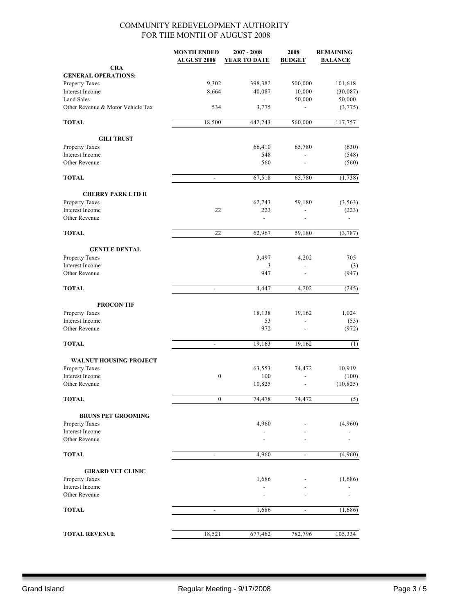|                                   | <b>MONTH ENDED</b><br><b>AUGUST 2008</b> | $2007 - 2008$<br><b>YEAR TO DATE</b> | 2008<br><b>BUDGET</b>    | <b>REMAINING</b><br><b>BALANCE</b> |
|-----------------------------------|------------------------------------------|--------------------------------------|--------------------------|------------------------------------|
| <b>CRA</b>                        |                                          |                                      |                          |                                    |
| <b>GENERAL OPERATIONS:</b>        |                                          |                                      |                          |                                    |
| Property Taxes                    | 9,302                                    | 398,382                              | 500,000                  | 101,618                            |
| Interest Income                   | 8,664                                    | 40,087                               | 10,000                   | (30,087)                           |
| <b>Land Sales</b>                 |                                          |                                      | 50,000                   | 50,000                             |
| Other Revenue & Motor Vehicle Tax | 534                                      | 3,775                                |                          | (3,775)                            |
| <b>TOTAL</b>                      | 18,500                                   | 442,243                              | 560,000                  | 117,757                            |
| <b>GILI TRUST</b>                 |                                          |                                      |                          |                                    |
| Property Taxes                    |                                          | 66,410                               | 65,780                   | (630)                              |
| Interest Income                   |                                          | 548                                  |                          | (548)                              |
| Other Revenue                     |                                          | 560                                  |                          | (560)                              |
| <b>TOTAL</b>                      | $\blacksquare$                           | 67,518                               | 65,780                   | (1,738)                            |
| <b>CHERRY PARK LTD II</b>         |                                          |                                      |                          |                                    |
| Property Taxes                    |                                          | 62,743                               | 59,180                   | (3, 563)                           |
| Interest Income                   | 22                                       | 223                                  | $\frac{1}{2}$            | (223)                              |
| Other Revenue                     |                                          | $\blacksquare$                       |                          |                                    |
| <b>TOTAL</b>                      | 22                                       | 62,967                               | 59,180                   | (3,787)                            |
| <b>GENTLE DENTAL</b>              |                                          |                                      |                          |                                    |
| Property Taxes                    |                                          | 3,497                                | 4,202                    | 705                                |
| Interest Income                   |                                          | 3                                    |                          | (3)                                |
| Other Revenue                     |                                          | 947                                  |                          | (947)                              |
| <b>TOTAL</b>                      | $\blacksquare$                           | 4,447                                | 4,202                    | (245)                              |
| <b>PROCON TIF</b>                 |                                          |                                      |                          |                                    |
| Property Taxes                    |                                          | 18,138                               | 19,162                   | 1,024                              |
| Interest Income                   |                                          | 53                                   |                          | (53)                               |
| Other Revenue                     |                                          | 972                                  | $\overline{\phantom{a}}$ | (972)                              |
| <b>TOTAL</b>                      | $\overline{\phantom{a}}$                 | 19,163                               | 19,162                   | (1)                                |
| <b>WALNUT HOUSING PROJECT</b>     |                                          |                                      |                          |                                    |
| Property Taxes                    |                                          | 63,553                               | 74,472                   | 10,919                             |
| Interest Income                   | 0                                        | 100                                  |                          | (100)                              |
| Other Revenue                     |                                          | 10,825                               |                          | (10, 825)                          |
| <b>TOTAL</b>                      | $\mathbf{0}$                             | 74,478                               | 74,472                   | (5)                                |
| <b>BRUNS PET GROOMING</b>         |                                          |                                      |                          |                                    |
| Property Taxes                    |                                          | 4,960                                |                          | (4,960)                            |
| Interest Income                   |                                          |                                      |                          |                                    |
| Other Revenue                     |                                          |                                      |                          |                                    |
| <b>TOTAL</b>                      | $\blacksquare$                           | 4,960                                | $\blacksquare$           | (4,960)                            |
| <b>GIRARD VET CLINIC</b>          |                                          |                                      |                          |                                    |
| Property Taxes                    |                                          | 1,686                                |                          | (1,686)                            |
| Interest Income                   |                                          |                                      |                          |                                    |
| Other Revenue                     |                                          |                                      |                          |                                    |
| <b>TOTAL</b>                      |                                          | 1,686                                |                          | (1,686)                            |
|                                   |                                          |                                      |                          |                                    |
| <b>TOTAL REVENUE</b>              | 18,521                                   | 677,462                              | 782,796                  | 105,334                            |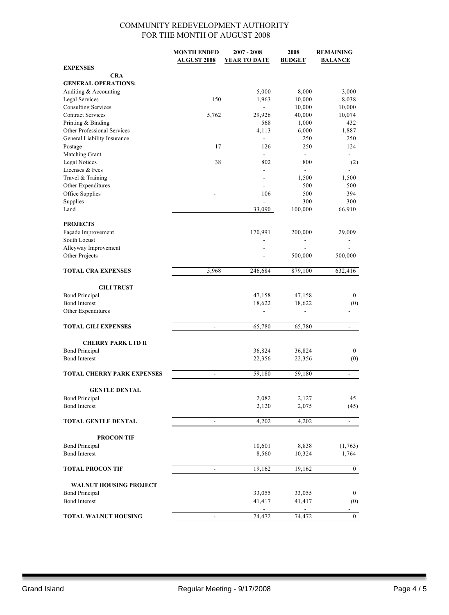|                                   | <b>MONTH ENDED</b>       | $2007 - 2008$            | 2008                     | <b>REMAINING</b>         |
|-----------------------------------|--------------------------|--------------------------|--------------------------|--------------------------|
|                                   | <b>AUGUST 2008</b>       | YEAR TO DATE             | <b>BUDGET</b>            | <b>BALANCE</b>           |
| <b>EXPENSES</b>                   |                          |                          |                          |                          |
| <b>CRA</b>                        |                          |                          |                          |                          |
| <b>GENERAL OPERATIONS:</b>        |                          |                          |                          |                          |
| Auditing & Accounting             |                          | 5,000                    | 8,000                    | 3,000                    |
| <b>Legal Services</b>             | 150                      | 1,963                    | 10,000                   | 8,038                    |
| <b>Consulting Services</b>        |                          | $\overline{\phantom{a}}$ | 10,000                   | 10,000                   |
| <b>Contract Services</b>          | 5,762                    | 29,926                   | 40,000                   | 10,074                   |
|                                   |                          | 568                      |                          | 432                      |
| Printing & Binding                |                          |                          | 1,000                    |                          |
| Other Professional Services       |                          | 4,113                    | 6,000                    | 1,887                    |
| General Liability Insurance       |                          | $\overline{a}$           | 250                      | 250                      |
| Postage                           | 17                       | 126                      | 250                      | 124                      |
| Matching Grant                    |                          | $\blacksquare$           | $\overline{\phantom{0}}$ | ۰                        |
| <b>Legal Notices</b>              | 38                       | 802                      | 800                      | (2)                      |
| Licenses & Fees                   |                          | $\overline{\phantom{a}}$ | $\overline{\phantom{0}}$ |                          |
| Travel & Training                 |                          |                          | 1,500                    | 1,500                    |
| Other Expenditures                |                          | $\overline{a}$           | 500                      | 500                      |
| Office Supplies                   |                          | 106                      | 500                      | 394                      |
| Supplies                          |                          | $\overline{\phantom{a}}$ | 300                      | 300                      |
| Land                              |                          | 33,090                   | 100,000                  | 66,910                   |
|                                   |                          |                          |                          |                          |
| <b>PROJECTS</b>                   |                          |                          |                          |                          |
| Façade Improvement                |                          | 170,991                  | 200,000                  | 29,009                   |
| South Locust                      |                          |                          |                          |                          |
|                                   |                          |                          |                          |                          |
| Alleyway Improvement              |                          |                          |                          |                          |
| Other Projects                    |                          |                          | 500,000                  | 500,000                  |
|                                   |                          |                          |                          |                          |
| <b>TOTAL CRA EXPENSES</b>         | 5,968                    | 246,684                  | 879,100                  | 632,416                  |
|                                   |                          |                          |                          |                          |
| <b>GILI TRUST</b>                 |                          |                          |                          |                          |
| <b>Bond Principal</b>             |                          | 47,158                   | 47,158                   | $\bf{0}$                 |
| <b>Bond Interest</b>              |                          | 18,622                   | 18,622                   | (0)                      |
| Other Expenditures                |                          | $\overline{a}$           | $\overline{a}$           |                          |
|                                   |                          |                          |                          |                          |
| <b>TOTAL GILI EXPENSES</b>        | $\overline{\phantom{a}}$ | 65,780                   | 65,780                   | $\overline{\phantom{a}}$ |
|                                   |                          |                          |                          |                          |
| <b>CHERRY PARK LTD II</b>         |                          |                          |                          |                          |
|                                   |                          |                          |                          |                          |
| <b>Bond Principal</b>             |                          | 36,824                   | 36,824                   | $\bf{0}$                 |
| <b>Bond Interest</b>              |                          | 22,356                   | 22,356                   | (0)                      |
|                                   |                          |                          |                          |                          |
| <b>TOTAL CHERRY PARK EXPENSES</b> | $\overline{\phantom{0}}$ | 59,180                   | 59,180                   |                          |
|                                   |                          |                          |                          |                          |
| <b>GENTLE DENTAL</b>              |                          |                          |                          |                          |
| <b>Bond Principal</b>             |                          | 2,082                    | 2,127                    | 45                       |
| <b>Bond Interest</b>              |                          | 2,120                    | 2,075                    | (45)                     |
|                                   |                          |                          |                          |                          |
| <b>TOTAL GENTLE DENTAL</b>        | $\overline{\phantom{a}}$ | 4,202                    | 4,202                    | $\blacksquare$           |
|                                   |                          |                          |                          |                          |
| <b>PROCON TIF</b>                 |                          |                          |                          |                          |
| <b>Bond Principal</b>             |                          | 10,601                   | 8,838                    | (1, 763)                 |
| <b>Bond Interest</b>              |                          | 8,560                    |                          |                          |
|                                   |                          |                          | 10,324                   | 1,764                    |
|                                   |                          |                          |                          |                          |
| <b>TOTAL PROCON TIF</b>           | $\overline{a}$           | 19,162                   | 19,162                   | $\boldsymbol{0}$         |
|                                   |                          |                          |                          |                          |
| <b>WALNUT HOUSING PROJECT</b>     |                          |                          |                          |                          |
| <b>Bond Principal</b>             |                          | 33,055                   | 33,055                   | $\bf{0}$                 |
| <b>Bond Interest</b>              |                          | 41,417                   | 41,417                   | (0)                      |
|                                   |                          |                          |                          | $\blacksquare$           |
| <b>TOTAL WALNUT HOUSING</b>       | $\blacksquare$           | 74,472                   | 74,472                   | $\bf{0}$                 |
|                                   |                          |                          |                          |                          |